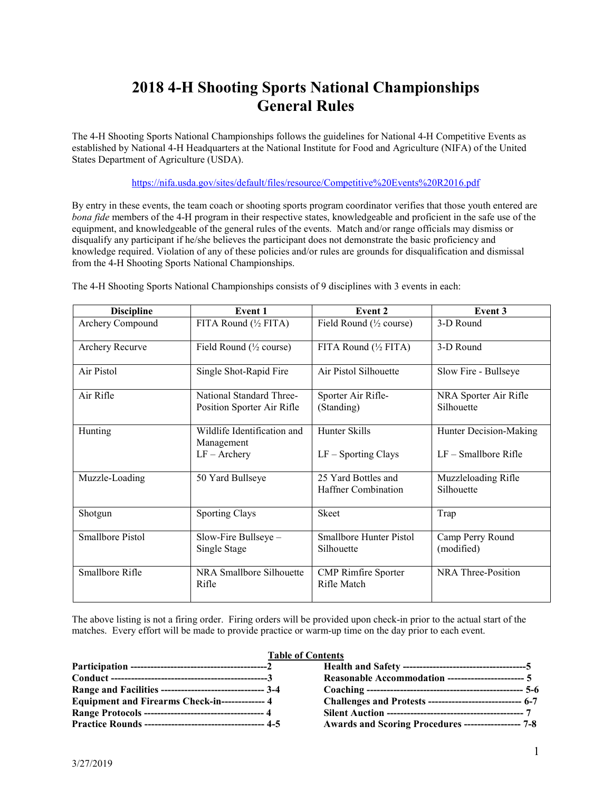# **2018 4-H Shooting Sports National Championships General Rules**

The 4-H Shooting Sports National Championships follows the guidelines for National 4-H Competitive Events as established by National 4-H Headquarters at the National Institute for Food and Agriculture (NIFA) of the United States Department of Agriculture (USDA).

<https://nifa.usda.gov/sites/default/files/resource/Competitive%20Events%20R2016.pdf>

By entry in these events, the team coach or shooting sports program coordinator verifies that those youth entered are *bona fide* members of the 4-H program in their respective states, knowledgeable and proficient in the safe use of the equipment, and knowledgeable of the general rules of the events. Match and/or range officials may dismiss or disqualify any participant if he/she believes the participant does not demonstrate the basic proficiency and knowledge required. Violation of any of these policies and/or rules are grounds for disqualification and dismissal from the 4-H Shooting Sports National Championships.

**Discipline Event 1 Event 2 Event 3** Archery Compound FITA Round ( $\frac{1}{2}$  Fitary Field Round ( $\frac{1}{2}$  course) 3-D Round Archery Recurve Field Round (<sup>1/2</sup> course) FITA Round (<sup>1/2</sup> FITA) 3-D Round Air Pistol Single Shot-Rapid Fire Air Pistol Silhouette Slow Fire - Bullseye Air Rifle National Standard Three-Position Sporter Air Rifle Sporter Air Rifle- (Standing) NRA Sporter Air Rifle Silhouette Hunting Wildlife Identification and Management LF – Archery Hunter Skills LF – Sporting Clays Hunter Decision-Making LF – Smallbore Rifle Muzzle-Loading 50 Yard Bullseye 25 Yard Bottles and Haffner Combination Muzzleloading Rifle Silhouette Shotgun Sporting Clays Shotgun Trap Smallbore Pistol Slow-Fire Bullseye – Single Stage Smallbore Hunter Pistol Silhouette Camp Perry Round (modified) Smallbore Rifle NRA Smallbore Silhouette Rifle CMP Rimfire Sporter Rifle Match NRA Three-Position

The 4-H Shooting Sports National Championships consists of 9 disciplines with 3 events in each:

The above listing is not a firing order. Firing orders will be provided upon check-in prior to the actual start of the matches. Every effort will be made to provide practice or warm-up time on the day prior to each event.

#### **Table of Contents**

| Range and Facilities --------------------------------- 3-4 |                                                     |
|------------------------------------------------------------|-----------------------------------------------------|
| Equipment and Firearms Check-in-------------- 4            |                                                     |
| Range Protocols ----------------------------------- 4      |                                                     |
|                                                            | Awards and Scoring Procedures ----------------- 7-8 |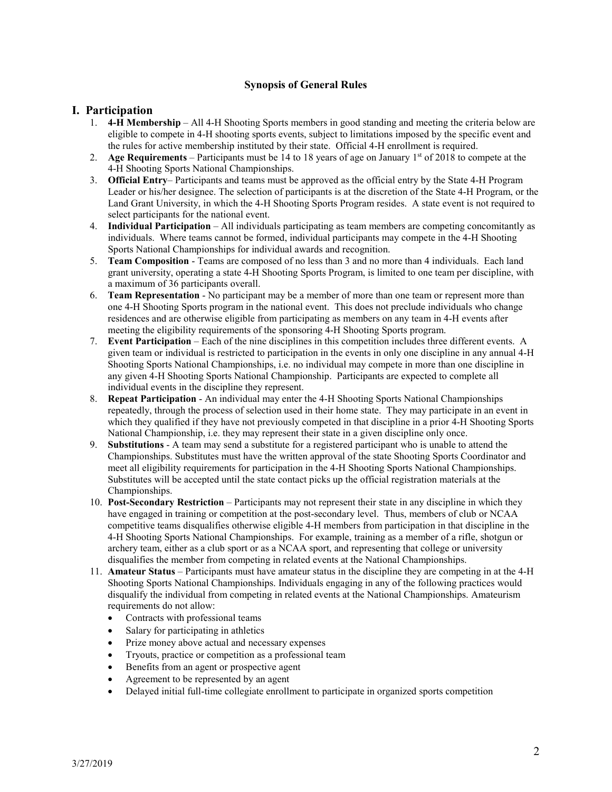# **Synopsis of General Rules**

# **I. Participation**

- 1. **4-H Membership** All 4-H Shooting Sports members in good standing and meeting the criteria below are eligible to compete in 4-H shooting sports events, subject to limitations imposed by the specific event and the rules for active membership instituted by their state. Official 4-H enrollment is required.
- 2. **Age Requirements** Participants must be 14 to 18 years of age on January 1st of 2018 to compete at the 4-H Shooting Sports National Championships.
- 3. **Official Entry** Participants and teams must be approved as the official entry by the State 4-H Program Leader or his/her designee. The selection of participants is at the discretion of the State 4-H Program, or the Land Grant University, in which the 4-H Shooting Sports Program resides. A state event is not required to select participants for the national event.
- 4. **Individual Participation** All individuals participating as team members are competing concomitantly as individuals. Where teams cannot be formed, individual participants may compete in the 4-H Shooting Sports National Championships for individual awards and recognition.
- 5. **Team Composition** Teams are composed of no less than 3 and no more than 4 individuals. Each land grant university, operating a state 4-H Shooting Sports Program, is limited to one team per discipline, with a maximum of 36 participants overall.
- 6. **Team Representation** No participant may be a member of more than one team or represent more than one 4-H Shooting Sports program in the national event. This does not preclude individuals who change residences and are otherwise eligible from participating as members on any team in 4-H events after meeting the eligibility requirements of the sponsoring 4-H Shooting Sports program.
- 7. **Event Participation** Each of the nine disciplines in this competition includes three different events. A given team or individual is restricted to participation in the events in only one discipline in any annual 4-H Shooting Sports National Championships, i.e. no individual may compete in more than one discipline in any given 4-H Shooting Sports National Championship. Participants are expected to complete all individual events in the discipline they represent.
- 8. **Repeat Participation** An individual may enter the 4-H Shooting Sports National Championships repeatedly, through the process of selection used in their home state. They may participate in an event in which they qualified if they have not previously competed in that discipline in a prior 4-H Shooting Sports National Championship, i.e. they may represent their state in a given discipline only once.
- 9. **Substitutions** A team may send a substitute for a registered participant who is unable to attend the Championships. Substitutes must have the written approval of the state Shooting Sports Coordinator and meet all eligibility requirements for participation in the 4-H Shooting Sports National Championships. Substitutes will be accepted until the state contact picks up the official registration materials at the Championships.
- 10. **Post-Secondary Restriction** Participants may not represent their state in any discipline in which they have engaged in training or competition at the post-secondary level. Thus, members of club or NCAA competitive teams disqualifies otherwise eligible 4-H members from participation in that discipline in the 4-H Shooting Sports National Championships. For example, training as a member of a rifle, shotgun or archery team, either as a club sport or as a NCAA sport, and representing that college or university disqualifies the member from competing in related events at the National Championships.
- 11. **Amateur Status**  Participants must have amateur status in the discipline they are competing in at the 4-H Shooting Sports National Championships. Individuals engaging in any of the following practices would disqualify the individual from competing in related events at the National Championships. Amateurism requirements do not allow:
	- Contracts with professional teams
	- Salary for participating in athletics
	- Prize money above actual and necessary expenses
	- Tryouts, practice or competition as a professional team
	- Benefits from an agent or prospective agent
	- Agreement to be represented by an agent
	- Delayed initial full-time collegiate enrollment to participate in organized sports competition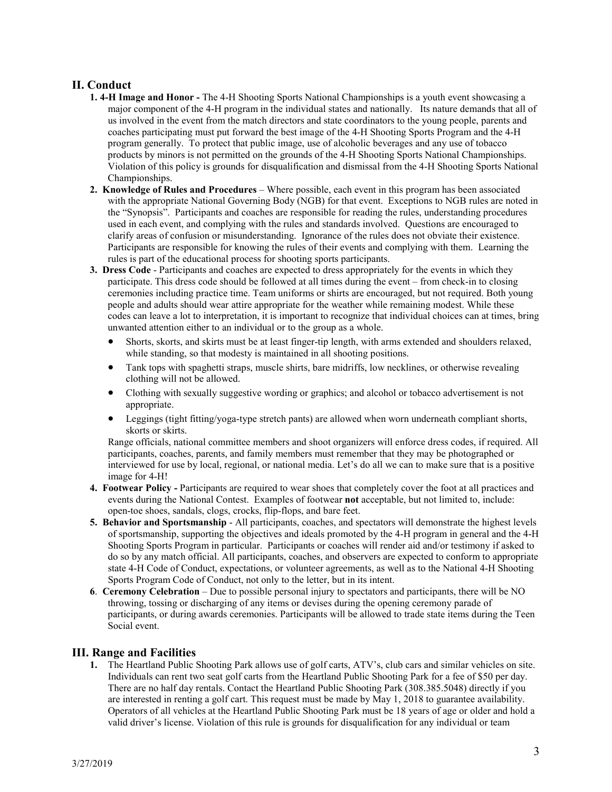# **II. Conduct**

- **1. 4-H Image and Honor -** The 4-H Shooting Sports National Championships is a youth event showcasing a major component of the 4-H program in the individual states and nationally. Its nature demands that all of us involved in the event from the match directors and state coordinators to the young people, parents and coaches participating must put forward the best image of the 4-H Shooting Sports Program and the 4-H program generally. To protect that public image, use of alcoholic beverages and any use of tobacco products by minors is not permitted on the grounds of the 4-H Shooting Sports National Championships. Violation of this policy is grounds for disqualification and dismissal from the 4-H Shooting Sports National Championships.
- **2. Knowledge of Rules and Procedures**  Where possible, each event in this program has been associated with the appropriate National Governing Body (NGB) for that event. Exceptions to NGB rules are noted in the "Synopsis". Participants and coaches are responsible for reading the rules, understanding procedures used in each event, and complying with the rules and standards involved. Questions are encouraged to clarify areas of confusion or misunderstanding. Ignorance of the rules does not obviate their existence. Participants are responsible for knowing the rules of their events and complying with them. Learning the rules is part of the educational process for shooting sports participants.
- **3. Dress Code** Participants and coaches are expected to dress appropriately for the events in which they participate. This dress code should be followed at all times during the event – from check-in to closing ceremonies including practice time. Team uniforms or shirts are encouraged, but not required. Both young people and adults should wear attire appropriate for the weather while remaining modest. While these codes can leave a lot to interpretation, it is important to recognize that individual choices can at times, bring unwanted attention either to an individual or to the group as a whole.
	- Shorts, skorts, and skirts must be at least finger-tip length, with arms extended and shoulders relaxed, while standing, so that modesty is maintained in all shooting positions.
	- Tank tops with spaghetti straps, muscle shirts, bare midriffs, low necklines, or otherwise revealing clothing will not be allowed.
	- Clothing with sexually suggestive wording or graphics; and alcohol or tobacco advertisement is not appropriate.
	- Leggings (tight fitting/yoga-type stretch pants) are allowed when worn underneath compliant shorts, skorts or skirts.

Range officials, national committee members and shoot organizers will enforce dress codes, if required. All participants, coaches, parents, and family members must remember that they may be photographed or interviewed for use by local, regional, or national media. Let's do all we can to make sure that is a positive image for 4-H!

- **4. Footwear Policy -** Participants are required to wear shoes that completely cover the foot at all practices and events during the National Contest. Examples of footwear **not** acceptable, but not limited to, include: open-toe shoes, sandals, clogs, crocks, flip-flops, and bare feet.
- **5. Behavior and Sportsmanship**  All participants, coaches, and spectators will demonstrate the highest levels of sportsmanship, supporting the objectives and ideals promoted by the 4-H program in general and the 4-H Shooting Sports Program in particular. Participants or coaches will render aid and/or testimony if asked to do so by any match official. All participants, coaches, and observers are expected to conform to appropriate state 4-H Code of Conduct, expectations, or volunteer agreements, as well as to the National 4-H Shooting Sports Program Code of Conduct, not only to the letter, but in its intent.
- **6**. **Ceremony Celebration** Due to possible personal injury to spectators and participants, there will be NO throwing, tossing or discharging of any items or devises during the opening ceremony parade of participants, or during awards ceremonies. Participants will be allowed to trade state items during the Teen Social event.

**III. Range and Facilities**<br>1. The Heartland Public Shooting Park allows use of golf carts, ATV's, club cars and similar vehicles on site. Individuals can rent two seat golf carts from the Heartland Public Shooting Park for a fee of \$50 per day. There are no half day rentals. Contact the Heartland Public Shooting Park (308.385.5048) directly if you are interested in renting a golf cart. This request must be made by May 1, 2018 to guarantee availability. Operators of all vehicles at the Heartland Public Shooting Park must be 18 years of age or older and hold a valid driver's license. Violation of this rule is grounds for disqualification for any individual or team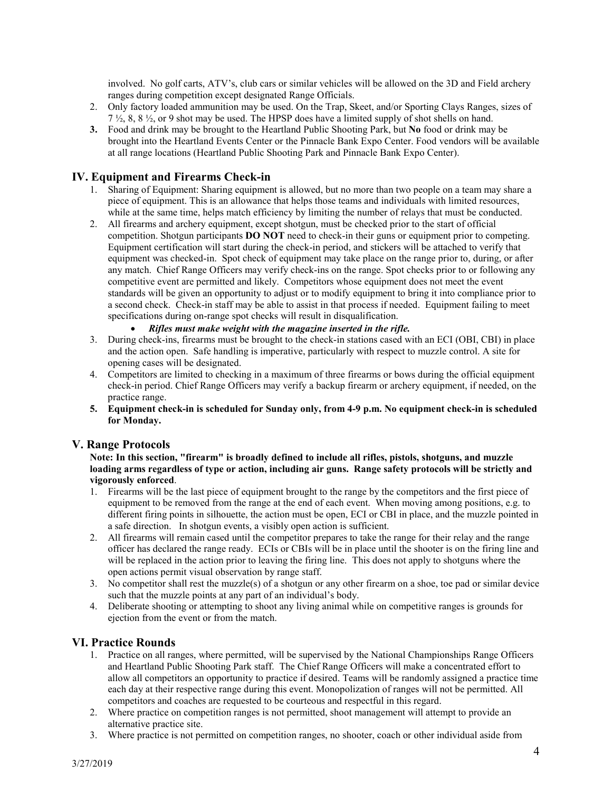involved. No golf carts, ATV's, club cars or similar vehicles will be allowed on the 3D and Field archery ranges during competition except designated Range Officials.

- 2. Only factory loaded ammunition may be used. On the Trap, Skeet, and/or Sporting Clays Ranges, sizes of 7 ½, 8, 8 ½, or 9 shot may be used. The HPSP does have a limited supply of shot shells on hand.
- **3.** Food and drink may be brought to the Heartland Public Shooting Park, but **No** food or drink may be brought into the Heartland Events Center or the Pinnacle Bank Expo Center. Food vendors will be available at all range locations (Heartland Public Shooting Park and Pinnacle Bank Expo Center).

# **IV. Equipment and Firearms Check-in**

- 1. Sharing of Equipment: Sharing equipment is allowed, but no more than two people on a team may share a piece of equipment. This is an allowance that helps those teams and individuals with limited resources, while at the same time, helps match efficiency by limiting the number of relays that must be conducted.
- 2. All firearms and archery equipment, except shotgun, must be checked prior to the start of official competition. Shotgun participants **DO NOT** need to check-in their guns or equipment prior to competing. Equipment certification will start during the check-in period, and stickers will be attached to verify that equipment was checked-in. Spot check of equipment may take place on the range prior to, during, or after any match. Chief Range Officers may verify check-ins on the range. Spot checks prior to or following any competitive event are permitted and likely. Competitors whose equipment does not meet the event standards will be given an opportunity to adjust or to modify equipment to bring it into compliance prior to a second check. Check-in staff may be able to assist in that process if needed. Equipment failing to meet specifications during on-range spot checks will result in disqualification.
	- *Rifles must make weight with the magazine inserted in the rifle.*
- 3. During check-ins, firearms must be brought to the check-in stations cased with an ECI (OBI, CBI) in place and the action open. Safe handling is imperative, particularly with respect to muzzle control. A site for opening cases will be designated.
- 4. Competitors are limited to checking in a maximum of three firearms or bows during the official equipment check-in period. Chief Range Officers may verify a backup firearm or archery equipment, if needed, on the practice range.
- **5. Equipment check-in is scheduled for Sunday only, from 4-9 p.m. No equipment check-in is scheduled for Monday.**

### **V. Range Protocols**

**Note: In this section, "firearm" is broadly defined to include all rifles, pistols, shotguns, and muzzle loading arms regardless of type or action, including air guns. Range safety protocols will be strictly and vigorously enforced**.

- 1. Firearms will be the last piece of equipment brought to the range by the competitors and the first piece of equipment to be removed from the range at the end of each event. When moving among positions, e.g. to different firing points in silhouette, the action must be open, ECI or CBI in place, and the muzzle pointed in a safe direction. In shotgun events, a visibly open action is sufficient.
- 2. All firearms will remain cased until the competitor prepares to take the range for their relay and the range officer has declared the range ready. ECIs or CBIs will be in place until the shooter is on the firing line and will be replaced in the action prior to leaving the firing line. This does not apply to shotguns where the open actions permit visual observation by range staff.
- 3. No competitor shall rest the muzzle(s) of a shotgun or any other firearm on a shoe, toe pad or similar device such that the muzzle points at any part of an individual's body.
- 4. Deliberate shooting or attempting to shoot any living animal while on competitive ranges is grounds for ejection from the event or from the match.

# **VI. Practice Rounds**

- 1. Practice on all ranges, where permitted, will be supervised by the National Championships Range Officers and Heartland Public Shooting Park staff. The Chief Range Officers will make a concentrated effort to allow all competitors an opportunity to practice if desired. Teams will be randomly assigned a practice time each day at their respective range during this event. Monopolization of ranges will not be permitted. All competitors and coaches are requested to be courteous and respectful in this regard.
- 2. Where practice on competition ranges is not permitted, shoot management will attempt to provide an alternative practice site.
- 3. Where practice is not permitted on competition ranges, no shooter, coach or other individual aside from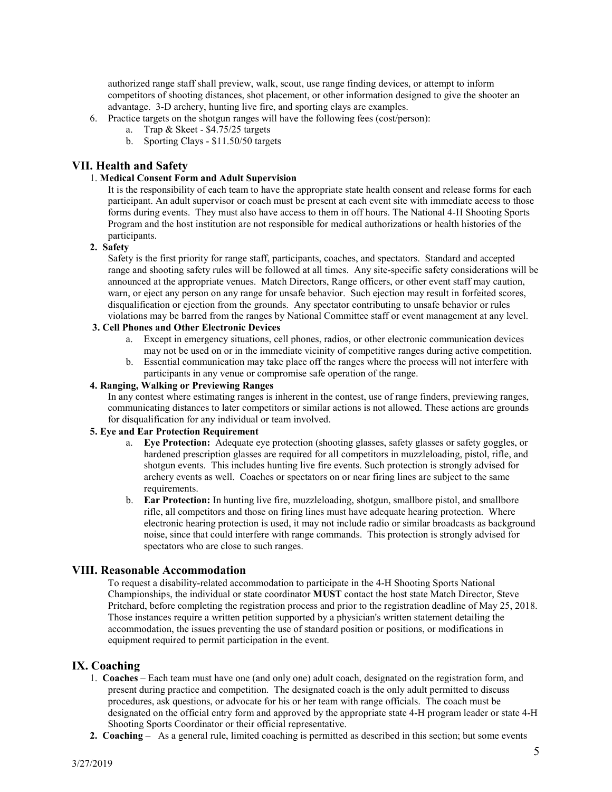authorized range staff shall preview, walk, scout, use range finding devices, or attempt to inform competitors of shooting distances, shot placement, or other information designed to give the shooter an advantage. 3-D archery, hunting live fire, and sporting clays are examples.

- 6. Practice targets on the shotgun ranges will have the following fees (cost/person):
	- a. Trap & Skeet \$4.75/25 targets
		- b. Sporting Clays \$11.50/50 targets

# **VII. Health and Safety**

### 1. **Medical Consent Form and Adult Supervision**

It is the responsibility of each team to have the appropriate state health consent and release forms for each participant. An adult supervisor or coach must be present at each event site with immediate access to those forms during events. They must also have access to them in off hours. The National 4-H Shooting Sports Program and the host institution are not responsible for medical authorizations or health histories of the participants.

# **2. Safety**

Safety is the first priority for range staff, participants, coaches, and spectators. Standard and accepted range and shooting safety rules will be followed at all times. Any site-specific safety considerations will be announced at the appropriate venues. Match Directors, Range officers, or other event staff may caution, warn, or eject any person on any range for unsafe behavior. Such ejection may result in forfeited scores, disqualification or ejection from the grounds. Any spectator contributing to unsafe behavior or rules violations may be barred from the ranges by National Committee staff or event management at any level.

# **3. Cell Phones and Other Electronic Devices**

- a. Except in emergency situations, cell phones, radios, or other electronic communication devices may not be used on or in the immediate vicinity of competitive ranges during active competition.
- b. Essential communication may take place off the ranges where the process will not interfere with participants in any venue or compromise safe operation of the range.

# **4. Ranging, Walking or Previewing Ranges**

In any contest where estimating ranges is inherent in the contest, use of range finders, previewing ranges, communicating distances to later competitors or similar actions is not allowed. These actions are grounds for disqualification for any individual or team involved.

### **5. Eye and Ear Protection Requirement**

- a. **Eye Protection:** Adequate eye protection (shooting glasses, safety glasses or safety goggles, or hardened prescription glasses are required for all competitors in muzzleloading, pistol, rifle, and shotgun events. This includes hunting live fire events. Such protection is strongly advised for archery events as well. Coaches or spectators on or near firing lines are subject to the same requirements.
- b. **Ear Protection:** In hunting live fire, muzzleloading, shotgun, smallbore pistol, and smallbore rifle, all competitors and those on firing lines must have adequate hearing protection. Where electronic hearing protection is used, it may not include radio or similar broadcasts as background noise, since that could interfere with range commands. This protection is strongly advised for spectators who are close to such ranges.

# **VIII. Reasonable Accommodation**

To request a disability-related accommodation to participate in the 4-H Shooting Sports National Championships, the individual or state coordinator **MUST** contact the host state Match Director, Steve Pritchard, before completing the registration process and prior to the registration deadline of May 25, 2018. Those instances require a written petition supported by a physician's written statement detailing the accommodation, the issues preventing the use of standard position or positions, or modifications in equipment required to permit participation in the event.

# **IX. Coaching**

- 1. **Coaches** Each team must have one (and only one) adult coach, designated on the registration form, and present during practice and competition. The designated coach is the only adult permitted to discuss procedures, ask questions, or advocate for his or her team with range officials. The coach must be designated on the official entry form and approved by the appropriate state 4-H program leader or state 4-H Shooting Sports Coordinator or their official representative.
- **2. Coaching** As a general rule, limited coaching is permitted as described in this section; but some events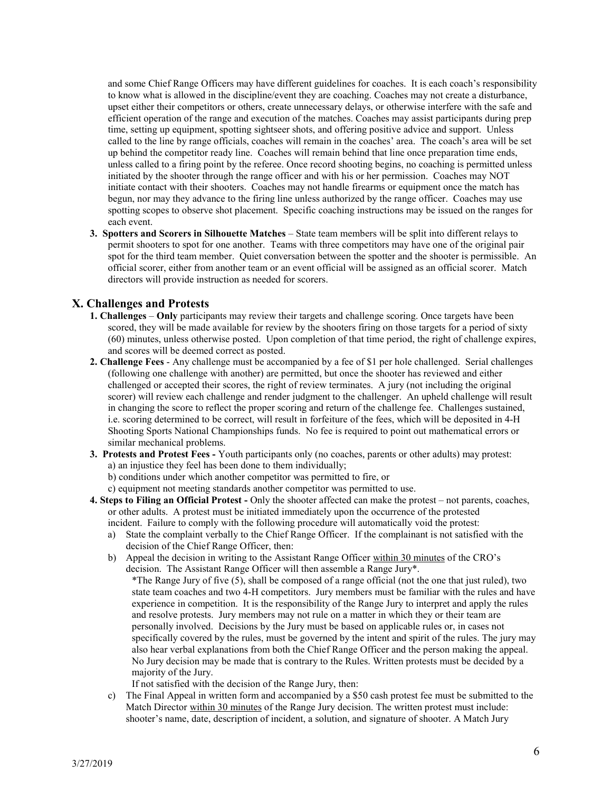and some Chief Range Officers may have different guidelines for coaches. It is each coach's responsibility to know what is allowed in the discipline/event they are coaching. Coaches may not create a disturbance, upset either their competitors or others, create unnecessary delays, or otherwise interfere with the safe and efficient operation of the range and execution of the matches. Coaches may assist participants during prep time, setting up equipment, spotting sightseer shots, and offering positive advice and support. Unless called to the line by range officials, coaches will remain in the coaches' area. The coach's area will be set up behind the competitor ready line. Coaches will remain behind that line once preparation time ends, unless called to a firing point by the referee. Once record shooting begins, no coaching is permitted unless initiated by the shooter through the range officer and with his or her permission. Coaches may NOT initiate contact with their shooters. Coaches may not handle firearms or equipment once the match has begun, nor may they advance to the firing line unless authorized by the range officer. Coaches may use spotting scopes to observe shot placement. Specific coaching instructions may be issued on the ranges for each event.

**3. Spotters and Scorers in Silhouette Matches** – State team members will be split into different relays to permit shooters to spot for one another. Teams with three competitors may have one of the original pair spot for the third team member. Quiet conversation between the spotter and the shooter is permissible. An official scorer, either from another team or an event official will be assigned as an official scorer. Match directors will provide instruction as needed for scorers.

# **X. Challenges and Protests**

- **1. Challenges Only** participants may review their targets and challenge scoring. Once targets have been scored, they will be made available for review by the shooters firing on those targets for a period of sixty (60) minutes, unless otherwise posted. Upon completion of that time period, the right of challenge expires, and scores will be deemed correct as posted.
- **2. Challenge Fees**  Any challenge must be accompanied by a fee of \$1 per hole challenged. Serial challenges (following one challenge with another) are permitted, but once the shooter has reviewed and either challenged or accepted their scores, the right of review terminates. A jury (not including the original scorer) will review each challenge and render judgment to the challenger. An upheld challenge will result in changing the score to reflect the proper scoring and return of the challenge fee. Challenges sustained, i.e. scoring determined to be correct, will result in forfeiture of the fees, which will be deposited in 4-H Shooting Sports National Championships funds. No fee is required to point out mathematical errors or similar mechanical problems.
- **3. Protests and Protest Fees -** Youth participants only (no coaches, parents or other adults) may protest: a) an injustice they feel has been done to them individually;
	- b) conditions under which another competitor was permitted to fire, or
	- c) equipment not meeting standards another competitor was permitted to use.
- **4. Steps to Filing an Official Protest -** Only the shooter affected can make the protest not parents, coaches, or other adults. A protest must be initiated immediately upon the occurrence of the protested incident. Failure to comply with the following procedure will automatically void the protest:
	- a) State the complaint verbally to the Chief Range Officer. If the complainant is not satisfied with the decision of the Chief Range Officer, then:
	- b) Appeal the decision in writing to the Assistant Range Officer within 30 minutes of the CRO's decision. The Assistant Range Officer will then assemble a Range Jury\*.
		- \*The Range Jury of five (5), shall be composed of a range official (not the one that just ruled), two state team coaches and two 4-H competitors. Jury members must be familiar with the rules and have experience in competition. It is the responsibility of the Range Jury to interpret and apply the rules and resolve protests. Jury members may not rule on a matter in which they or their team are personally involved. Decisions by the Jury must be based on applicable rules or, in cases not specifically covered by the rules, must be governed by the intent and spirit of the rules. The jury may also hear verbal explanations from both the Chief Range Officer and the person making the appeal. No Jury decision may be made that is contrary to the Rules. Written protests must be decided by a majority of the Jury.

If not satisfied with the decision of the Range Jury, then:

c) The Final Appeal in written form and accompanied by a \$50 cash protest fee must be submitted to the Match Director within 30 minutes of the Range Jury decision. The written protest must include: shooter's name, date, description of incident, a solution, and signature of shooter. A Match Jury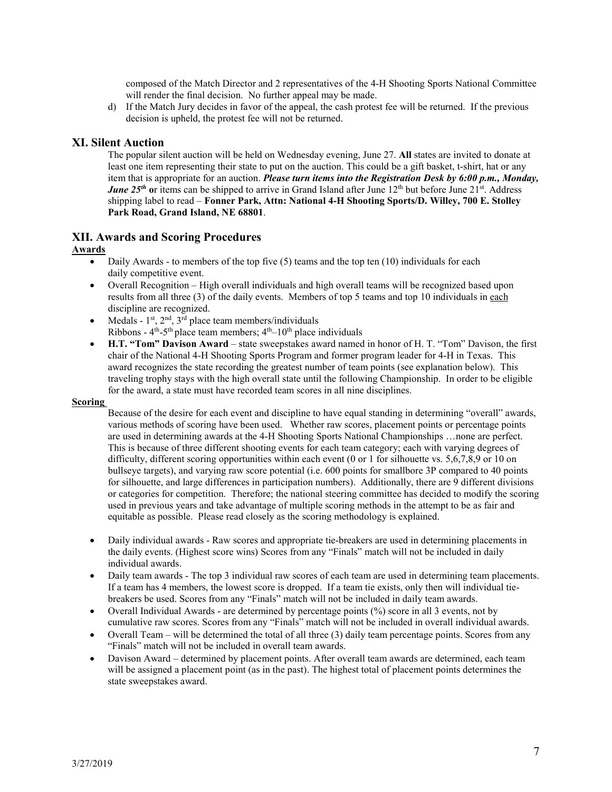composed of the Match Director and 2 representatives of the 4-H Shooting Sports National Committee will render the final decision. No further appeal may be made.

d) If the Match Jury decides in favor of the appeal, the cash protest fee will be returned. If the previous decision is upheld, the protest fee will not be returned.

# **XI. Silent Auction**

The popular silent auction will be held on Wednesday evening, June 27. **All** states are invited to donate at least one item representing their state to put on the auction. This could be a gift basket, t-shirt, hat or any item that is appropriate for an auction. *Please turn items into the Registration Desk by 6:00 p.m., Monday, June 25<sup>th</sup>* or items can be shipped to arrive in Grand Island after June 12<sup>th</sup> but before June 21<sup>st</sup>. Address shipping label to read – **Fonner Park, Attn: National 4-H Shooting Sports/D. Willey, 700 E. Stolley Park Road, Grand Island, NE 68801**.

# **XII. Awards and Scoring Procedures**

#### **Awards**

- Daily Awards to members of the top five  $(5)$  teams and the top ten  $(10)$  individuals for each daily competitive event.
- Overall Recognition High overall individuals and high overall teams will be recognized based upon results from all three (3) of the daily events. Members of top 5 teams and top 10 individuals in each discipline are recognized.
- Medals  $1^{st}$ ,  $2^{nd}$ ,  $3^{rd}$  place team members/individuals Ribbons -  $4<sup>th</sup> - 5<sup>th</sup>$  place team members;  $4<sup>th</sup> - 10<sup>th</sup>$  place individuals
- **H.T. "Tom" Davison Award**  state sweepstakes award named in honor of H. T. "Tom" Davison, the first chair of the National 4-H Shooting Sports Program and former program leader for 4-H in Texas. This award recognizes the state recording the greatest number of team points (see explanation below). This traveling trophy stays with the high overall state until the following Championship. In order to be eligible for the award, a state must have recorded team scores in all nine disciplines.

#### **Scoring**

Because of the desire for each event and discipline to have equal standing in determining "overall" awards, various methods of scoring have been used. Whether raw scores, placement points or percentage points are used in determining awards at the 4-H Shooting Sports National Championships …none are perfect. This is because of three different shooting events for each team category; each with varying degrees of difficulty, different scoring opportunities within each event (0 or 1 for silhouette vs. 5,6,7,8,9 or 10 on bullseye targets), and varying raw score potential (i.e. 600 points for smallbore 3P compared to 40 points for silhouette, and large differences in participation numbers). Additionally, there are 9 different divisions or categories for competition. Therefore; the national steering committee has decided to modify the scoring used in previous years and take advantage of multiple scoring methods in the attempt to be as fair and equitable as possible. Please read closely as the scoring methodology is explained.

- Daily individual awards Raw scores and appropriate tie-breakers are used in determining placements in the daily events. (Highest score wins) Scores from any "Finals" match will not be included in daily individual awards.
- Daily team awards The top 3 individual raw scores of each team are used in determining team placements. If a team has 4 members, the lowest score is dropped. If a team tie exists, only then will individual tiebreakers be used. Scores from any "Finals" match will not be included in daily team awards.
- Overall Individual Awards are determined by percentage points (%) score in all 3 events, not by cumulative raw scores. Scores from any "Finals" match will not be included in overall individual awards.
- Overall Team will be determined the total of all three (3) daily team percentage points. Scores from any "Finals" match will not be included in overall team awards.
- Davison Award determined by placement points. After overall team awards are determined, each team will be assigned a placement point (as in the past). The highest total of placement points determines the state sweepstakes award.